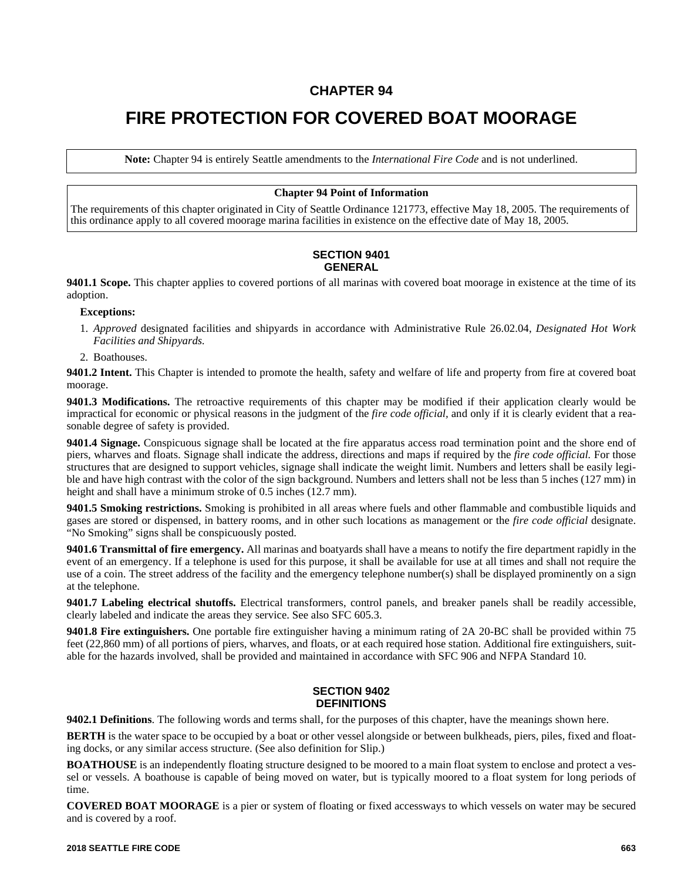# **CHAPTER 94**

# **FIRE PROTECTION FOR COVERED BOAT MOORAGE**

**Note:** Chapter 94 is entirely Seattle amendments to the *International Fire Code* and is not underlined.

# **Chapter 94 Point of Information**

The requirements of this chapter originated in City of Seattle Ordinance 121773, effective May 18, 2005. The requirements of this ordinance apply to all covered moorage marina facilities in existence on the effective date of May 18, 2005.

#### **SECTION 9401 GENERAL**

**9401.1 Scope.** This chapter applies to covered portions of all marinas with covered boat moorage in existence at the time of its adoption.

#### **Exceptions:**

- 1. *Approved* designated facilities and shipyards in accordance with Administrative Rule 26.02.04, *Designated Hot Work Facilities and Shipyards.*
- 2. Boathouses.

**9401.2 Intent.** This Chapter is intended to promote the health, safety and welfare of life and property from fire at covered boat moorage.

**9401.3 Modifications.** The retroactive requirements of this chapter may be modified if their application clearly would be impractical for economic or physical reasons in the judgment of the *fire code official,* and only if it is clearly evident that a reasonable degree of safety is provided.

**9401.4 Signage.** Conspicuous signage shall be located at the fire apparatus access road termination point and the shore end of piers, wharves and floats. Signage shall indicate the address, directions and maps if required by the *fire code official.* For those structures that are designed to support vehicles, signage shall indicate the weight limit. Numbers and letters shall be easily legible and have high contrast with the color of the sign background. Numbers and letters shall not be less than 5 inches (127 mm) in height and shall have a minimum stroke of 0.5 inches (12.7 mm).

**9401.5 Smoking restrictions.** Smoking is prohibited in all areas where fuels and other flammable and combustible liquids and gases are stored or dispensed, in battery rooms, and in other such locations as management or the *fire code official* designate. "No Smoking" signs shall be conspicuously posted.

**9401.6 Transmittal of fire emergency.** All marinas and boatyards shall have a means to notify the fire department rapidly in the event of an emergency. If a telephone is used for this purpose, it shall be available for use at all times and shall not require the use of a coin. The street address of the facility and the emergency telephone number(s) shall be displayed prominently on a sign at the telephone.

**9401.7 Labeling electrical shutoffs.** Electrical transformers, control panels, and breaker panels shall be readily accessible, clearly labeled and indicate the areas they service. See also SFC 605.3.

**9401.8 Fire extinguishers.** One portable fire extinguisher having a minimum rating of 2A 20-BC shall be provided within 75 feet (22,860 mm) of all portions of piers, wharves, and floats, or at each required hose station. Additional fire extinguishers, suitable for the hazards involved, shall be provided and maintained in accordance with SFC 906 and NFPA Standard 10.

# **SECTION 9402 DEFINITIONS**

**9402.1 Definitions**. The following words and terms shall, for the purposes of this chapter, have the meanings shown here.

**BERTH** is the water space to be occupied by a boat or other vessel alongside or between bulkheads, piers, piles, fixed and floating docks, or any similar access structure. (See also definition for Slip.)

**BOATHOUSE** is an independently floating structure designed to be moored to a main float system to enclose and protect a vessel or vessels. A boathouse is capable of being moved on water, but is typically moored to a float system for long periods of time.

**COVERED BOAT MOORAGE** is a pier or system of floating or fixed accessways to which vessels on water may be secured and is covered by a roof.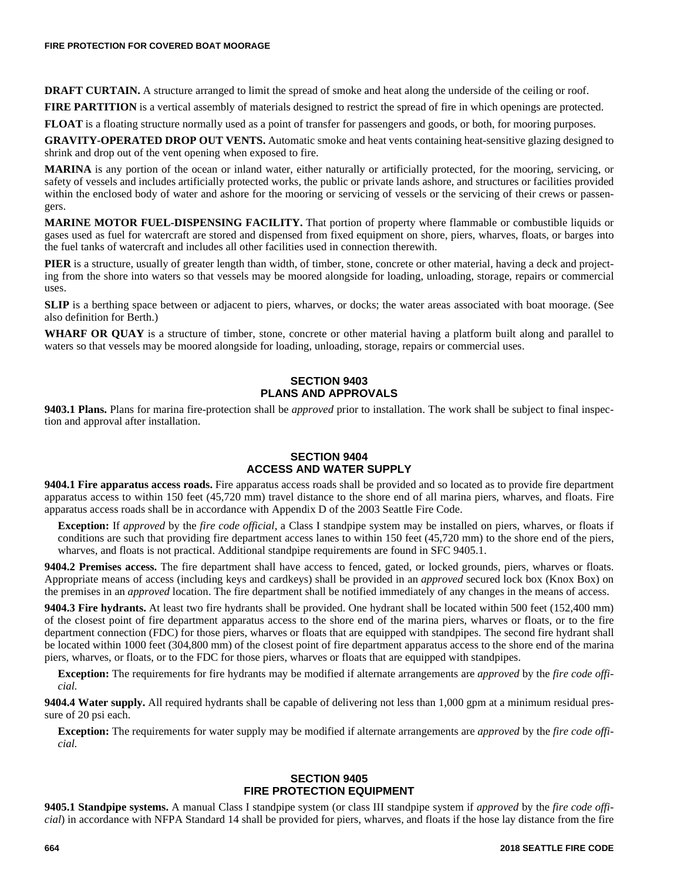**DRAFT CURTAIN.** A structure arranged to limit the spread of smoke and heat along the underside of the ceiling or roof.

**FIRE PARTITION** is a vertical assembly of materials designed to restrict the spread of fire in which openings are protected.

**FLOAT** is a floating structure normally used as a point of transfer for passengers and goods, or both, for mooring purposes.

**GRAVITY-OPERATED DROP OUT VENTS.** Automatic smoke and heat vents containing heat-sensitive glazing designed to shrink and drop out of the vent opening when exposed to fire.

**MARINA** is any portion of the ocean or inland water, either naturally or artificially protected, for the mooring, servicing, or safety of vessels and includes artificially protected works, the public or private lands ashore, and structures or facilities provided within the enclosed body of water and ashore for the mooring or servicing of vessels or the servicing of their crews or passengers.

**MARINE MOTOR FUEL-DISPENSING FACILITY.** That portion of property where flammable or combustible liquids or gases used as fuel for watercraft are stored and dispensed from fixed equipment on shore, piers, wharves, floats, or barges into the fuel tanks of watercraft and includes all other facilities used in connection therewith.

**PIER** is a structure, usually of greater length than width, of timber, stone, concrete or other material, having a deck and projecting from the shore into waters so that vessels may be moored alongside for loading, unloading, storage, repairs or commercial uses.

**SLIP** is a berthing space between or adjacent to piers, wharves, or docks; the water areas associated with boat moorage. (See also definition for Berth.)

**WHARF OR OUAY** is a structure of timber, stone, concrete or other material having a platform built along and parallel to waters so that vessels may be moored alongside for loading, unloading, storage, repairs or commercial uses.

# **SECTION 9403 PLANS AND APPROVALS**

**9403.1 Plans.** Plans for marina fire-protection shall be *approved* prior to installation. The work shall be subject to final inspection and approval after installation.

# **SECTION 9404 ACCESS AND WATER SUPPLY**

**9404.1 Fire apparatus access roads.** Fire apparatus access roads shall be provided and so located as to provide fire department apparatus access to within 150 feet (45,720 mm) travel distance to the shore end of all marina piers, wharves, and floats. Fire apparatus access roads shall be in accordance with Appendix D of the 2003 Seattle Fire Code.

**Exception:** If *approved* by the *fire code official,* a Class I standpipe system may be installed on piers, wharves, or floats if conditions are such that providing fire department access lanes to within 150 feet (45,720 mm) to the shore end of the piers, wharves, and floats is not practical. Additional standpipe requirements are found in SFC 9405.1.

**9404.2 Premises access.** The fire department shall have access to fenced, gated, or locked grounds, piers, wharves or floats. Appropriate means of access (including keys and cardkeys) shall be provided in an *approved* secured lock box (Knox Box) on the premises in an *approved* location. The fire department shall be notified immediately of any changes in the means of access.

**9404.3 Fire hydrants.** At least two fire hydrants shall be provided. One hydrant shall be located within 500 feet (152,400 mm) of the closest point of fire department apparatus access to the shore end of the marina piers, wharves or floats, or to the fire department connection (FDC) for those piers, wharves or floats that are equipped with standpipes. The second fire hydrant shall be located within 1000 feet (304,800 mm) of the closest point of fire department apparatus access to the shore end of the marina piers, wharves, or floats, or to the FDC for those piers, wharves or floats that are equipped with standpipes.

**Exception:** The requirements for fire hydrants may be modified if alternate arrangements are *approved* by the *fire code official.*

**9404.4 Water supply.** All required hydrants shall be capable of delivering not less than 1,000 gpm at a minimum residual pressure of 20 psi each.

**Exception:** The requirements for water supply may be modified if alternate arrangements are *approved* by the *fire code official.*

#### **SECTION 9405 FIRE PROTECTION EQUIPMENT**

**9405.1 Standpipe systems.** A manual Class I standpipe system (or class III standpipe system if *approved* by the *fire code official*) in accordance with NFPA Standard 14 shall be provided for piers, wharves, and floats if the hose lay distance from the fire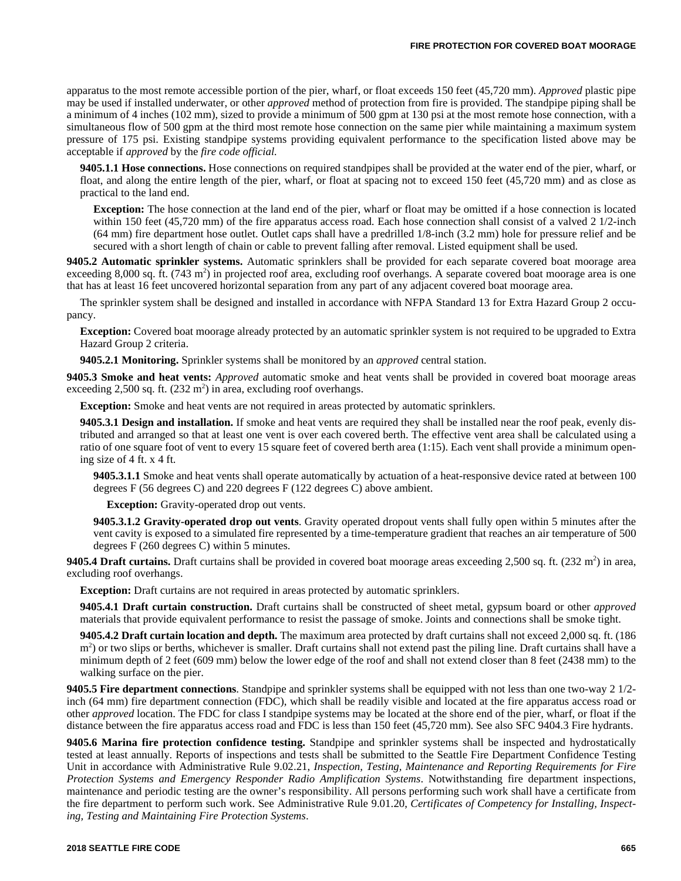apparatus to the most remote accessible portion of the pier, wharf, or float exceeds 150 feet (45,720 mm). *Approved* plastic pipe may be used if installed underwater, or other *approved* method of protection from fire is provided. The standpipe piping shall be a minimum of 4 inches (102 mm), sized to provide a minimum of 500 gpm at 130 psi at the most remote hose connection, with a simultaneous flow of 500 gpm at the third most remote hose connection on the same pier while maintaining a maximum system pressure of 175 psi. Existing standpipe systems providing equivalent performance to the specification listed above may be acceptable if *approved* by the *fire code official.*

**9405.1.1 Hose connections.** Hose connections on required standpipes shall be provided at the water end of the pier, wharf, or float, and along the entire length of the pier, wharf, or float at spacing not to exceed 150 feet (45,720 mm) and as close as practical to the land end.

**Exception:** The hose connection at the land end of the pier, wharf or float may be omitted if a hose connection is located within 150 feet (45,720 mm) of the fire apparatus access road. Each hose connection shall consist of a valved 2 1/2-inch (64 mm) fire department hose outlet. Outlet caps shall have a predrilled 1/8-inch (3.2 mm) hole for pressure relief and be secured with a short length of chain or cable to prevent falling after removal. Listed equipment shall be used.

**9405.2 Automatic sprinkler systems.** Automatic sprinklers shall be provided for each separate covered boat moorage area exceeding 8,000 sq. ft. (743 m<sup>2</sup>) in projected roof area, excluding roof overhangs. A separate covered boat moorage area is one that has at least 16 feet uncovered horizontal separation from any part of any adjacent covered boat moorage area.

The sprinkler system shall be designed and installed in accordance with NFPA Standard 13 for Extra Hazard Group 2 occupancy.

**Exception:** Covered boat moorage already protected by an automatic sprinkler system is not required to be upgraded to Extra Hazard Group 2 criteria.

**9405.2.1 Monitoring.** Sprinkler systems shall be monitored by an *approved* central station.

**9405.3 Smoke and heat vents:** *Approved* automatic smoke and heat vents shall be provided in covered boat moorage areas exceeding 2,500 sq. ft.  $(232 \text{ m}^2)$  in area, excluding roof overhangs.

**Exception:** Smoke and heat vents are not required in areas protected by automatic sprinklers.

**9405.3.1 Design and installation.** If smoke and heat vents are required they shall be installed near the roof peak, evenly distributed and arranged so that at least one vent is over each covered berth. The effective vent area shall be calculated using a ratio of one square foot of vent to every 15 square feet of covered berth area (1:15). Each vent shall provide a minimum opening size of 4 ft. x 4 ft.

**9405.3.1.1** Smoke and heat vents shall operate automatically by actuation of a heat-responsive device rated at between 100 degrees F (56 degrees C) and 220 degrees F (122 degrees C) above ambient.

**Exception:** Gravity-operated drop out vents.

**9405.3.1.2 Gravity-operated drop out vents**. Gravity operated dropout vents shall fully open within 5 minutes after the vent cavity is exposed to a simulated fire represented by a time-temperature gradient that reaches an air temperature of 500 degrees F (260 degrees C) within 5 minutes.

**9405.4 Draft curtains.** Draft curtains shall be provided in covered boat moorage areas exceeding 2,500 sq. ft.  $(232 \text{ m}^2)$  in area, excluding roof overhangs.

**Exception:** Draft curtains are not required in areas protected by automatic sprinklers.

**9405.4.1 Draft curtain construction.** Draft curtains shall be constructed of sheet metal, gypsum board or other *approved* materials that provide equivalent performance to resist the passage of smoke. Joints and connections shall be smoke tight.

**9405.4.2 Draft curtain location and depth.** The maximum area protected by draft curtains shall not exceed 2,000 sq. ft. (186 m<sup>2</sup>) or two slips or berths, whichever is smaller. Draft curtains shall not extend past the piling line. Draft curtains shall have a minimum depth of 2 feet (609 mm) below the lower edge of the roof and shall not extend closer than 8 feet (2438 mm) to the walking surface on the pier.

**9405.5 Fire department connections**. Standpipe and sprinkler systems shall be equipped with not less than one two-way 2 1/2 inch (64 mm) fire department connection (FDC), which shall be readily visible and located at the fire apparatus access road or other *approved* location. The FDC for class I standpipe systems may be located at the shore end of the pier, wharf, or float if the distance between the fire apparatus access road and FDC is less than 150 feet (45,720 mm). See also SFC 9404.3 Fire hydrants.

**9405.6 Marina fire protection confidence testing.** Standpipe and sprinkler systems shall be inspected and hydrostatically tested at least annually. Reports of inspections and tests shall be submitted to the Seattle Fire Department Confidence Testing Unit in accordance with Administrative Rule 9.02.21, *Inspection, Testing, Maintenance and Reporting Requirements for Fire Protection Systems and Emergency Responder Radio Amplification Systems*. Notwithstanding fire department inspections, maintenance and periodic testing are the owner's responsibility. All persons performing such work shall have a certificate from the fire department to perform such work. See Administrative Rule 9.01.20, *Certificates of Competency for Installing, Inspecting, Testing and Maintaining Fire Protection Systems*.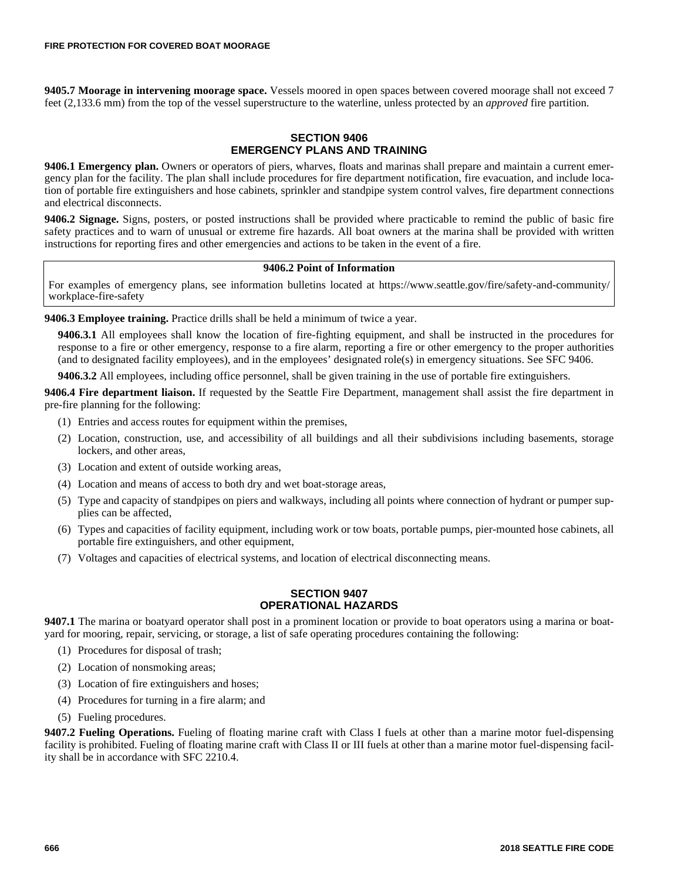**9405.7 Moorage in intervening moorage space.** Vessels moored in open spaces between covered moorage shall not exceed 7 feet (2,133.6 mm) from the top of the vessel superstructure to the waterline, unless protected by an *approved* fire partition.

# **SECTION 9406 EMERGENCY PLANS AND TRAINING**

**9406.1 Emergency plan.** Owners or operators of piers, wharves, floats and marinas shall prepare and maintain a current emergency plan for the facility. The plan shall include procedures for fire department notification, fire evacuation, and include location of portable fire extinguishers and hose cabinets, sprinkler and standpipe system control valves, fire department connections and electrical disconnects.

**9406.2 Signage.** Signs, posters, or posted instructions shall be provided where practicable to remind the public of basic fire safety practices and to warn of unusual or extreme fire hazards. All boat owners at the marina shall be provided with written instructions for reporting fires and other emergencies and actions to be taken in the event of a fire.

### **9406.2 Point of Information**

For examples of emergency plans, see information bulletins located at https://www.seattle.gov/fire/safety-and-community/ workplace-fire-safety

**9406.3 Employee training.** Practice drills shall be held a minimum of twice a year.

**9406.3.1** All employees shall know the location of fire-fighting equipment, and shall be instructed in the procedures for response to a fire or other emergency, response to a fire alarm, reporting a fire or other emergency to the proper authorities (and to designated facility employees), and in the employees' designated role(s) in emergency situations. See SFC 9406.

**9406.3.2** All employees, including office personnel, shall be given training in the use of portable fire extinguishers.

**9406.4 Fire department liaison.** If requested by the Seattle Fire Department, management shall assist the fire department in pre-fire planning for the following:

- (1) Entries and access routes for equipment within the premises,
- (2) Location, construction, use, and accessibility of all buildings and all their subdivisions including basements, storage lockers, and other areas,
- (3) Location and extent of outside working areas,
- (4) Location and means of access to both dry and wet boat-storage areas,
- (5) Type and capacity of standpipes on piers and walkways, including all points where connection of hydrant or pumper supplies can be affected,
- (6) Types and capacities of facility equipment, including work or tow boats, portable pumps, pier-mounted hose cabinets, all portable fire extinguishers, and other equipment,
- (7) Voltages and capacities of electrical systems, and location of electrical disconnecting means.

### **SECTION 9407 OPERATIONAL HAZARDS**

**9407.1** The marina or boatyard operator shall post in a prominent location or provide to boat operators using a marina or boatyard for mooring, repair, servicing, or storage, a list of safe operating procedures containing the following:

- (1) Procedures for disposal of trash;
- (2) Location of nonsmoking areas;
- (3) Location of fire extinguishers and hoses;
- (4) Procedures for turning in a fire alarm; and
- (5) Fueling procedures.

**9407.2 Fueling Operations.** Fueling of floating marine craft with Class I fuels at other than a marine motor fuel-dispensing facility is prohibited. Fueling of floating marine craft with Class II or III fuels at other than a marine motor fuel-dispensing facility shall be in accordance with SFC 2210.4.